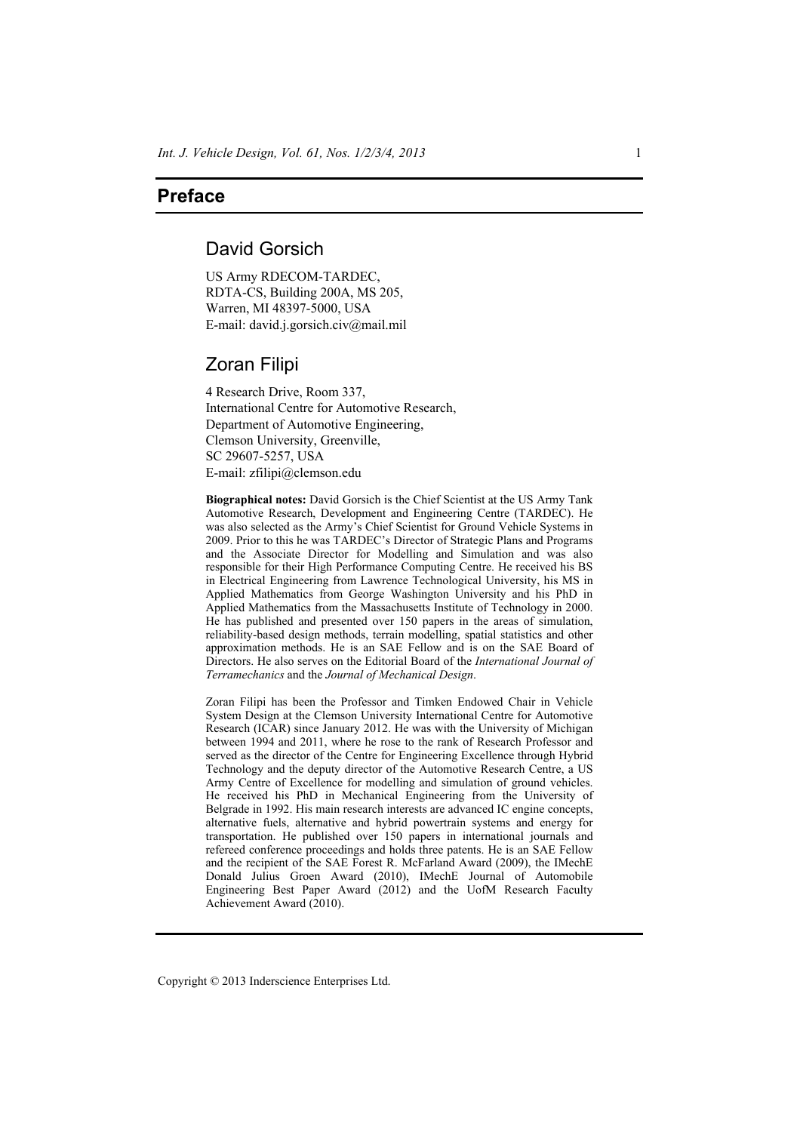## **Preface**

## David Gorsich

US Army RDECOM-TARDEC, RDTA-CS, Building 200A, MS 205, Warren, MI 48397-5000, USA E-mail: david.j.gorsich.civ@mail.mil

## Zoran Filipi

4 Research Drive, Room 337, International Centre for Automotive Research, Department of Automotive Engineering, Clemson University, Greenville, SC 29607-5257, USA E-mail: zfilipi@clemson.edu

**Biographical notes:** David Gorsich is the Chief Scientist at the US Army Tank Automotive Research, Development and Engineering Centre (TARDEC). He was also selected as the Army's Chief Scientist for Ground Vehicle Systems in 2009. Prior to this he was TARDEC's Director of Strategic Plans and Programs and the Associate Director for Modelling and Simulation and was also responsible for their High Performance Computing Centre. He received his BS in Electrical Engineering from Lawrence Technological University, his MS in Applied Mathematics from George Washington University and his PhD in Applied Mathematics from the Massachusetts Institute of Technology in 2000. He has published and presented over 150 papers in the areas of simulation, reliability-based design methods, terrain modelling, spatial statistics and other approximation methods. He is an SAE Fellow and is on the SAE Board of Directors. He also serves on the Editorial Board of the *International Journal of Terramechanics* and the *Journal of Mechanical Design*.

Zoran Filipi has been the Professor and Timken Endowed Chair in Vehicle System Design at the Clemson University International Centre for Automotive Research (ICAR) since January 2012. He was with the University of Michigan between 1994 and 2011, where he rose to the rank of Research Professor and served as the director of the Centre for Engineering Excellence through Hybrid Technology and the deputy director of the Automotive Research Centre, a US Army Centre of Excellence for modelling and simulation of ground vehicles. He received his PhD in Mechanical Engineering from the University of Belgrade in 1992. His main research interests are advanced IC engine concepts, alternative fuels, alternative and hybrid powertrain systems and energy for transportation. He published over 150 papers in international journals and refereed conference proceedings and holds three patents. He is an SAE Fellow and the recipient of the SAE Forest R. McFarland Award (2009), the IMechE Donald Julius Groen Award (2010), IMechE Journal of Automobile Engineering Best Paper Award (2012) and the UofM Research Faculty Achievement Award (2010).